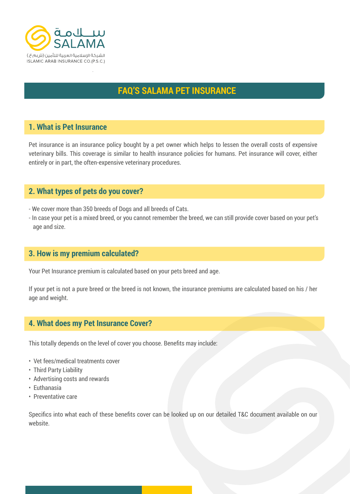

# **FAQ'S SALAMA PET INSURANCE**

## **1. What is Pet Insurance**

Pet insurance is an insurance policy bought by a pet owner which helps to lessen the overall costs of expensive veterinary bills. This coverage is similar to health insurance policies for humans. Pet insurance will cover, either entirely or in part, the often-expensive veterinary procedures.

## **2. What types of pets do you cover?**

- We cover more than 350 breeds of Dogs and all breeds of Cats.
- In case your pet is a mixed breed, or you cannot remember the breed, we can still provide cover based on your pet's age and size.

## **3. How is my premium calculated?**

Your Pet Insurance premium is calculated based on your pets breed and age.

If your pet is not a pure breed or the breed is not known, the insurance premiums are calculated based on his / her age and weight.

## **4. What does my Pet Insurance Cover?**

This totally depends on the level of cover you choose. Benefits may include:

- Vet fees/medical treatments cover
- Third Party Liability
- Advertising costs and rewards
- Euthanasia
- Preventative care

Specifics into what each of these benefits cover can be looked up on our detailed T&C document available on our website.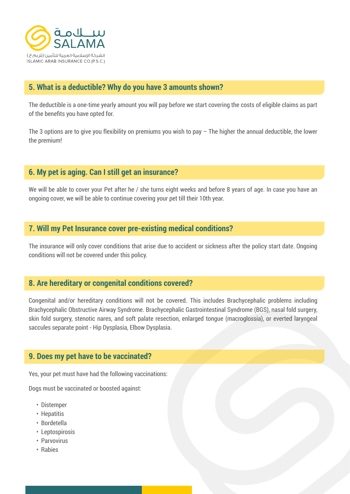

## **5. What is a deductible? Why do you have 3 amounts shown?**

The deductible is a one-time yearly amount you will pay before we start covering the costs of eligible claims as part of the benefits you have opted for.

The 3 options are to give you flexibility on premiums you wish to pay – The higher the annual deductible, the lower the premium!

## **6. My pet is aging. Can I still get an insurance?**

We will be able to cover your Pet after he / she turns eight weeks and before 8 years of age. In case you have an ongoing cover, we will be able to continue covering your pet till their 10th year.

### **7. Will my Pet Insurance cover pre-existing medical conditions?**

The insurance will only cover conditions that arise due to accident or sickness after the policy start date. Ongoing conditions will not be covered under this policy.

## **8. Are hereditary or congenital conditions covered?**

Congenital and/or hereditary conditions will not be covered. This includes Brachycephalic problems including Brachycephalic Obstructive Airway Syndrome. Brachycephalic Gastrointestinal Syndrome (BGS), nasal fold surgery, skin fold surgery, stenotic nares, and soft palate resection, enlarged tongue (macroglossia), or everted laryngeal saccules separate point - Hip Dysplasia, Elbow Dysplasia.

### **9. Does my pet have to be vaccinated?**

Yes, your pet must have had the following vaccinations:

Dogs must be vaccinated or boosted against:

- Distemper
- Hepatitis
- Bordetella
- Leptospirosis
- Parvovirus
- Rabies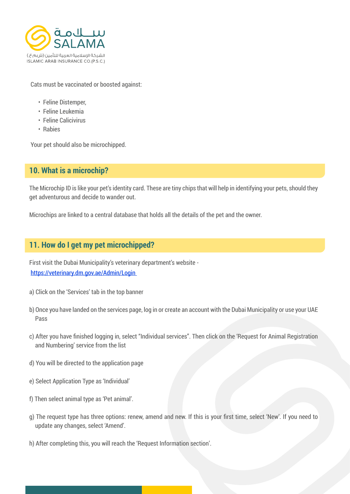

Cats must be vaccinated or boosted against:

- Feline Distemper,
- Feline Leukemia
- Feline Calicivirus
- Rabies

Your pet should also be microchipped.

# **10. What is a microchip?**

The Microchip ID is like your pet's identity card. These are tiny chips that will help in identifying your pets, should they get adventurous and decide to wander out.

Microchips are linked to a central database that holds all the details of the pet and the owner.

## **11. How do I get my pet microchipped?**

First visit the Dubai Municipality's veterinary department's website https://veterinary.dm.gov.ae/Admin/Login

- a) Click on the 'Services' tab in the top banner
- b) Once you have landed on the services page, log in or create an account with the Dubai Municipality or use your UAE Pass
- c) After you have finished logging in, select "Individual services". Then click on the 'Request for Animal Registration and Numbering' service from the list
- d) You will be directed to the application page
- e) Select Application Type as 'Individual'
- f) Then select animal type as 'Pet animal'.
- g) The request type has three options: renew, amend and new. If this is your first time, select 'New'. If you need to update any changes, select 'Amend'.
- h) After completing this, you will reach the 'Request Information section'.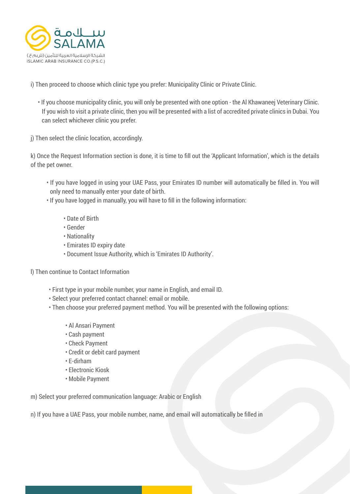

i) Then proceed to choose which clinic type you prefer: Municipality Clinic or Private Clinic.

 • If you choose municipality clinic, you will only be presented with one option - the Al Khawaneej Veterinary Clinic. If you wish to visit a private clinic, then you will be presented with a list of accredited private clinics in Dubai. You can select whichever clinic you prefer.

j) Then select the clinic location, accordingly.

k) Once the Request Information section is done, it is time to fill out the 'Applicant Information', which is the details of the pet owner.

• If you have logged in using your UAE Pass, your Emirates ID number will automatically be filled in. You will only need to manually enter your date of birth.

• If you have logged in manually, you will have to fill in the following information:

- Date of Birth
- Gender
- Nationality
- Emirates ID expiry date
- Document Issue Authority, which is 'Emirates ID Authority'.
- l) Then continue to Contact Information
	- First type in your mobile number, your name in English, and email ID.
	- Select your preferred contact channel: email or mobile.
	- Then choose your preferred payment method. You will be presented with the following options:
		- Al Ansari Payment
		- Cash payment
		- Check Payment
		- Credit or debit card payment
		- E-dirham
		- Electronic Kiosk
		- Mobile Payment

m) Select your preferred communication language: Arabic or English

n) If you have a UAE Pass, your mobile number, name, and email will automatically be filled in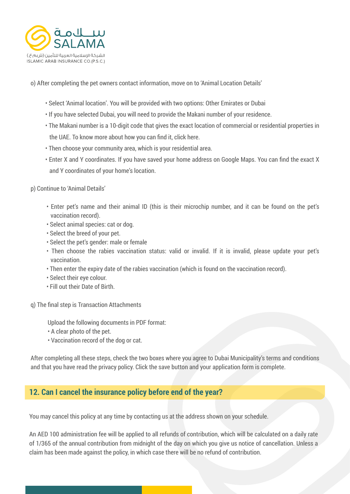

o) After completing the pet owners contact information, move on to 'Animal Location Details'

- Select 'Animal location'. You will be provided with two options: Other Emirates or Dubai
- If you have selected Dubai, you will need to provide the Makani number of your residence.
- The Makani number is a 10-digit code that gives the exact location of commercial or residential properties in the UAE. To know more about how you can find it, click here.
- Then choose your community area, which is your residential area.
- Enter X and Y coordinates. If you have saved your home address on Google Maps. You can find the exact X and Y coordinates of your home's location.
- p) Continue to 'Animal Details'
	- Enter pet's name and their animal ID (this is their microchip number, and it can be found on the pet's vaccination record).
	- Select animal species: cat or dog.
	- Select the breed of your pet.
	- Select the pet's gender: male or female
	- Then choose the rabies vaccination status: valid or invalid. If it is invalid, please update your pet's vaccination.
	- Then enter the expiry date of the rabies vaccination (which is found on the vaccination record).
	- Select their eye colour.
	- Fill out their Date of Birth.
- q) The final step is Transaction Attachments

Upload the following documents in PDF format:

- A clear photo of the pet.
- Vaccination record of the dog or cat.

After completing all these steps, check the two boxes where you agree to Dubai Municipality's terms and conditions and that you have read the privacy policy. Click the save button and your application form is complete.

## **12. Can I cancel the insurance policy before end of the year?**

You may cancel this policy at any time by contacting us at the address shown on your schedule.

An AED 100 administration fee will be applied to all refunds of contribution, which will be calculated on a daily rate of 1/365 of the annual contribution from midnight of the day on which you give us notice of cancellation. Unless a claim has been made against the policy, in which case there will be no refund of contribution.